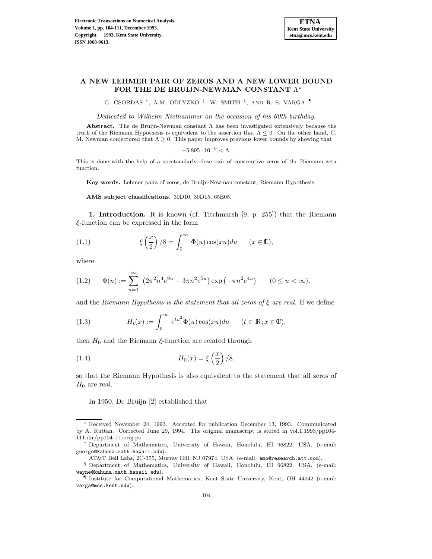

## **A NEW LEHMER PAIR OF ZEROS AND A NEW LOWER BOUND FOR THE DE BRUIJN-NEWMAN CONSTANT** Λ<sup>∗</sup>

G. CSORDAS †, A.M. ODLYZKO ‡, W. SMITH §, AND R. S. VARGA ¶

Dedicated to Wilhelm Niethammer on the occasion of his 60th birthday.

**Abstract.** The de Bruijn-Newman constant Λ has been investigated extensively because the truth of the Riemann Hypothesis is equivalent to the assertion that  $\Lambda \leq 0$ . On the other hand, C. M. Newman conjectured that  $\Lambda \geq 0$ . This paper improves previous lower bounds by showing that

$$
-5.895 \cdot 10^{-9} < \Lambda.
$$

This is done with the help of a spectacularly close pair of consecutive zeros of the Riemann zeta function.

**Key words.** Lehmer pairs of zeros, de Bruijn-Newman constant, Riemann Hypothesis.

**AMS subject classifications.** 30D10, 30D15, 65E05.

**1. Introduction.** It is known (cf. Titchmarsh [9, p. 255]) that the Riemann ξ-function can be expressed in the form

(1.1) 
$$
\xi\left(\frac{x}{2}\right)/8 = \int_0^\infty \Phi(u)\cos(xu)du \qquad (x \in \mathbb{C}),
$$

where

$$
(1.2) \qquad \Phi(u) := \sum_{n=1}^{\infty} \left(2\pi^2 n^4 e^{9u} - 3\pi n^2 e^{5u}\right) \exp\left(-\pi n^2 e^{4u}\right) \qquad (0 \le u < \infty),
$$

and the Riemann Hypothesis is the statement that all zeros of  $\xi$  are real. If we define

(1.3) 
$$
H_t(x) := \int_0^\infty e^{tu^2} \Phi(u) \cos(xu) du \qquad (t \in \mathbb{R}; x \in \mathbb{C}),
$$

then  $H_0$  and the Riemann  $\xi$ -function are related through

(1.4) 
$$
H_0(x) = \xi \left(\frac{x}{2}\right)/8,
$$

so that the Riemann Hypothesis is also equivalent to the statement that all zeros of  $H_0$  are real.

In 1950, De Bruijn [2] established that

<sup>∗</sup> Received November 24, 1993. Accepted for publication December 13, 1993. Communicated by A. Ruttan. Corrected June 29, 1994. The original manuscript is stored in vol.1.1993/pp104- 111.dir/pp104-111orig.ps

<sup>†</sup> Department of Mathematics, University of Hawaii, Honolulu, HI 96822, USA. (e-mail: george@kahuna.math.hawaii.edu).

<sup>‡</sup> AT&T Bell Labs, 2C-355, Murray Hill, NJ 07974, USA. (e-mail: amo@research.att.com).

<sup>§</sup> Department of Mathematics, University of Hawaii, Honolulu, HI 96822, USA. (e-mail: wayne@kahuna.math.hawaii.edu).

<sup>¶</sup> Institute for Computational Mathematics, Kent State University, Kent, OH 44242 (e-mail: varga@mcs.kent.edu).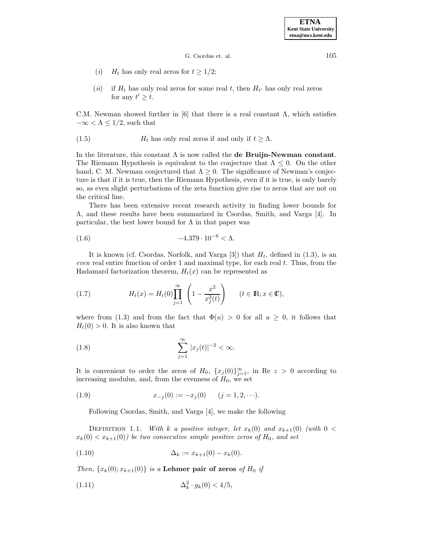**ETNA Kent State University etna@mcs.kent.edu**

G. Csordas et. al. 105

- (*i*)  $H_t$  has only real zeros for  $t \geq 1/2$ ;
- (ii) if  $H_t$  has only real zeros for some real t, then  $H_{t'}$  has only real zeros for any  $t' \geq t$ .

C.M. Newman showed further in [6] that there is a real constant  $\Lambda$ , which satisfies  $-\infty < \Lambda \leq 1/2$ , such that

(1.5) 
$$
H_t
$$
 has only real zeros if and only if  $t \ge \Lambda$ .

In the literature, this constant Λ is now called the **de Bruijn-Newman constant**. The Riemann Hypothesis is equivalent to the conjecture that  $\Lambda \leq 0$ . On the other hand, C. M. Newman conjectured that  $\Lambda \geq 0$ . The significance of Newman's conjecture is that if it is true, then the Riemann Hypothesis, even if it is true, is only barely so, as even slight perturbations of the zeta function give rise to zeros that are not on the critical line.

There has been extensive recent research activity in finding lower bounds for Λ, and these results have been summarized in Csordas, Smith, and Varga [4]. In particular, the best lower bound for  $\Lambda$  in that paper was

(1.6) 
$$
-4.379 \cdot 10^{-6} < \Lambda.
$$

It is known (cf. Csordas, Norfolk, and Varga [3]) that  $H_t$ , defined in (1.3), is an even real entire function of order 1 and maximal type, for each real  $t$ . Thus, from the Hadamard factorization theorem,  $H_t(x)$  can be represented as

(1.7) 
$$
H_t(x) = H_t(0) \prod_{j=1}^{\infty} \left( 1 - \frac{x^2}{x_j^2(t)} \right) \qquad (t \in \mathbb{R}; x \in \mathbb{C}),
$$

where from (1.3) and from the fact that  $\Phi(u) > 0$  for all  $u \geq 0$ , it follows that  $H_t(0) > 0$ . It is also known that

(1.8) 
$$
\sum_{j=1}^{\infty} |x_j(t)|^{-2} < \infty.
$$

It is convenient to order the zeros of  $H_0$ ,  $\{x_j(0)\}_{j=1}^{\infty}$ , in Re  $z > 0$  according to increasing modulus, and, from the evenness of  $H_0$ , we set

(1.9) 
$$
x_{-j}(0) := -x_j(0) \qquad (j = 1, 2, \cdots).
$$

Following Csordas, Smith, and Varga [4], we make the following

DEFINITION 1.1. With k a positive integer, let  $x_k(0)$  and  $x_{k+1}(0)$  (with  $0 <$  $x_k(0) < x_{k+1}(0)$  be two consecutive simple positive zeros of  $H_0$ , and set

(1.10) 
$$
\Delta_k := x_{k+1}(0) - x_k(0).
$$

Then,  $\{x_k(0); x_{k+1}(0)\}\$ is a **Lehmer pair of zeros** of  $H_0$  if

(1.11) 
$$
\Delta_k^2 \cdot g_k(0) < 4/5,
$$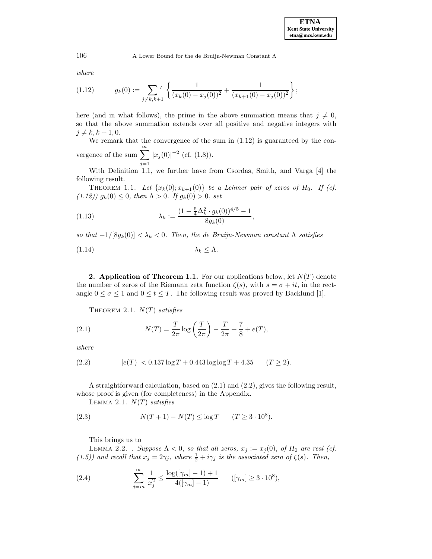106 A Lower Bound for the de Bruijn-Newman Constant Λ

where

$$
(1.12) \t g_k(0) := \sum_{j \neq k, k+1} \left\{ \frac{1}{(x_k(0) - x_j(0))^2} + \frac{1}{(x_{k+1}(0) - x_j(0))^2} \right\};
$$

here (and in what follows), the prime in the above summation means that  $j \neq 0$ , so that the above summation extends over all positive and negative integers with  $j \neq k, k + 1, 0.$ 

We remark that the convergence of the sum in (1.12) is guaranteed by the convergence of the sum  $\sum_{n=1}^{\infty}$  $|x_j(0)|^{-2}$  (cf. (1.8)).

With Definition 1.1, we further have from Csordas, Smith, and Varga [4] the following result.

THEOREM 1.1. Let  $\{x_k(0); x_{k+1}(0)\}\$ be a Lehmer pair of zeros of  $H_0$ . If (cf. (1.12))  $g_k(0) \leq 0$ , then  $\Lambda > 0$ . If  $g_k(0) > 0$ , set

(1.13) 
$$
\lambda_k := \frac{(1 - \frac{5}{4} \Delta_k^2 \cdot g_k(0))^{4/5} - 1}{8g_k(0)},
$$

so that  $-1/[8g_k(0)] < \lambda_k < 0$ . Then, the de Bruijn-Newman constant  $\Lambda$  satisfies

$$
\lambda_k \leq \Lambda.
$$

 $j=1$ 

**2. Application of Theorem 1.1.** For our applications below, let  $N(T)$  denote the number of zeros of the Riemann zeta function  $\zeta(s)$ , with  $s = \sigma + it$ , in the rectangle  $0 \le \sigma \le 1$  and  $0 \le t \le T$ . The following result was proved by Backlund [1].

THEOREM 2.1.  $N(T)$  satisfies

(2.1) 
$$
N(T) = \frac{T}{2\pi} \log \left( \frac{T}{2\pi} \right) - \frac{T}{2\pi} + \frac{7}{8} + e(T),
$$

where

$$
(2.2) \t\t |e(T)| < 0.137 \log T + 0.443 \log \log T + 4.35 \t (T \ge 2).
$$

A straightforward calculation, based on (2.1) and (2.2), gives the following result, whose proof is given (for completeness) in the Appendix.

LEMMA 2.1.  $N(T)$  satisfies

(2.3) 
$$
N(T+1) - N(T) \le \log T \qquad (T \ge 3 \cdot 10^8).
$$

This brings us to

LEMMA 2.2. . Suppose  $\Lambda < 0$ , so that all zeros,  $x_j := x_j(0)$ , of  $H_0$  are real (cf. (1.5)) and recall that  $x_j = 2\gamma_j$ , where  $\frac{1}{2} + i\gamma_j$  is the associated zero of  $\zeta(s)$ . Then,

(2.4) 
$$
\sum_{j=m}^{\infty} \frac{1}{x_j^2} \le \frac{\log(|\gamma_m| - 1) + 1}{4(|\gamma_m| - 1)} \qquad (|\gamma_m| \ge 3 \cdot 10^8),
$$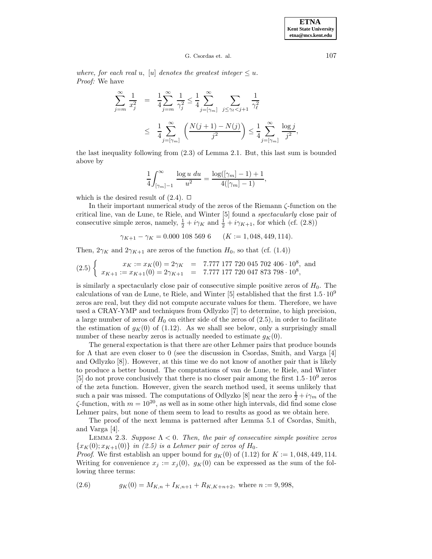**ETNA Kent State University etna@mcs.kent.edu**

## G. Csordas et. al. 107

where, for each real u, [u] denotes the greatest integer  $\leq u$ . Proof: We have

$$
\sum_{j=m}^{\infty} \frac{1}{x_j^2} = \frac{1}{4} \sum_{j=m}^{\infty} \frac{1}{\gamma_j^2} \le \frac{1}{4} \sum_{j=\lceil \gamma_m \rceil}^{\infty} \sum_{j \le \gamma_\ell < j+1} \frac{1}{\gamma_\ell^2} \\
\le \frac{1}{4} \sum_{j=\lceil \gamma_m \rceil}^{\infty} \left( \frac{N(j+1) - N(j)}{j^2} \right) \le \frac{1}{4} \sum_{j=\lceil \gamma_m \rceil}^{\infty} \frac{\log j}{j^2},
$$

the last inequality following from (2.3) of Lemma 2.1. But, this last sum is bounded above by

$$
\frac{1}{4} \int_{\lceil \gamma_m \rceil - 1}^\infty \frac{\log u \, du}{u^2} = \frac{\log(\lceil \gamma_m \rceil - 1) + 1}{4(\lceil \gamma_m \rceil - 1)},
$$

which is the desired result of  $(2.4)$ .  $\Box$ 

In their important numerical study of the zeros of the Riemann ζ-function on the critical line, van de Lune, te Riele, and Winter [5] found a spectacularly close pair of consecutive simple zeros, namely,  $\frac{1}{2} + i\gamma_K$  and  $\frac{1}{2} + i\gamma_{K+1}$ , for which (cf. (2.8))

$$
\gamma_{K+1} - \gamma_K = 0.000\ 108\ 569\ 6 \qquad (K := 1,048,449,114).
$$

Then,  $2\gamma_K$  and  $2\gamma_{K+1}$  are zeros of the function  $H_0$ , so that (cf. (1.4))

$$
(2.5)\begin{cases}\nx_K := x_K(0) = 2\gamma_K = 7.777\ 177\ 720\ 045\ 702\ 406\cdot 10^8, \text{ and} \\
x_{K+1} := x_{K+1}(0) = 2\gamma_{K+1} = 7.777\ 177\ 720\ 047\ 873\ 798\cdot 10^8,\n\end{cases}
$$

is similarly a spectacularly close pair of consecutive simple positive zeros of  $H_0$ . The calculations of van de Lune, te Riele, and Winter [5] established that the first  $1.5 \cdot 10^9$ zeros are real, but they did not compute accurate values for them. Therefore, we have used a CRAY-YMP and techniques from Odlyzko [7] to determine, to high precision, a large number of zeros of  $H_0$  on either side of the zeros of  $(2.5)$ , in order to facilitate the estimation of  $g_K(0)$  of (1.12). As we shall see below, only a surprisingly small number of these nearby zeros is actually needed to estimate  $g_K(0)$ .

The general expectation is that there are other Lehmer pairs that produce bounds for  $\Lambda$  that are even closer to 0 (see the discussion in Csordas, Smith, and Varga [4] and Odlyzko [8]). However, at this time we do not know of another pair that is likely to produce a better bound. The computations of van de Lune, te Riele, and Winter [5] do not prove conclusively that there is no closer pair among the first  $1.5 \cdot 10^9$  zeros of the zeta function. However, given the search method used, it seems unlikely that such a pair was missed. The computations of Odlyzko [8] near the zero  $\frac{1}{2} + i\gamma_m$  of the  $\zeta$ -function, with  $m = 10^{20}$ , as well as in some other high intervals, did find some close Lehmer pairs, but none of them seem to lead to results as good as we obtain here.

The proof of the next lemma is patterned after Lemma 5.1 of Csordas, Smith, and Varga [4].

LEMMA 2.3. Suppose  $\Lambda < 0$ . Then, the pair of consecutive simple positive zeros  ${x<sub>K</sub>(0); x<sub>K+1</sub>(0)}$  in (2.5) is a Lehmer pair of zeros of H<sub>0</sub>.

*Proof.* We first establish an upper bound for  $g_K(0)$  of (1.12) for  $K := 1,048,449,114$ . Writing for convenience  $x_j := x_j(0)$ ,  $g_K(0)$  can be expressed as the sum of the following three terms:

(2.6) 
$$
g_K(0) = M_{K,n} + I_{K,n+1} + R_{K,K+n+2}, \text{ where } n := 9,998,
$$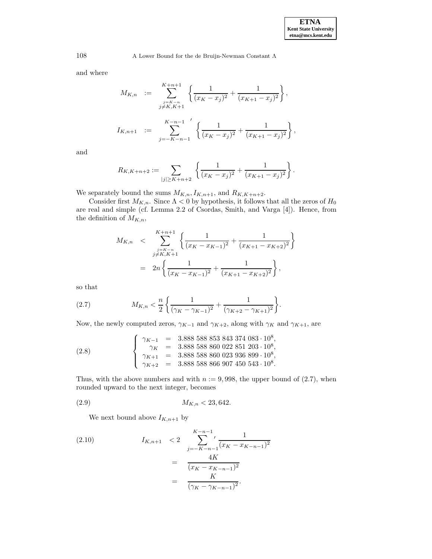and where

$$
M_{K,n} := \sum_{\substack{j=K-n\\j\neq K, K+1}}^{K+n+1} \left\{ \frac{1}{(x_K - x_j)^2} + \frac{1}{(x_{K+1} - x_j)^2} \right\},
$$
  

$$
I_{K,n+1} := \sum_{j=-K-n-1}^{K-n-1} \left\{ \frac{1}{(x_K - x_j)^2} + \frac{1}{(x_{K+1} - x_j)^2} \right\},
$$

and

$$
R_{K,K+n+2} := \sum_{|j| \geq K+n+2} \left\{ \frac{1}{(x_K - x_j)^2} + \frac{1}{(x_{K+1} - x_j)^2} \right\}.
$$

We separately bound the sums  $M_{K,n}$ ,  $I_{K,n+1}$ , and  $R_{K,K+n+2}$ .

Consider first  $M_{K,n}$ . Since  $\Lambda < 0$  by hypothesis, it follows that all the zeros of  $H_0$ are real and simple (cf. Lemma 2.2 of Csordas, Smith, and Varga [4]). Hence, from the definition of  $M_{K,n}$ ,

$$
M_{K,n} < \sum_{\substack{j=K-n \\ j\neq K, K+1}}^{K+n+1} \left\{ \frac{1}{(x_K - x_{K-1})^2} + \frac{1}{(x_{K+1} - x_{K+2})^2} \right\}
$$
\n
$$
= 2n \left\{ \frac{1}{(x_K - x_{K-1})^2} + \frac{1}{(x_{K+1} - x_{K+2})^2} \right\},
$$

so that

(2.7) 
$$
M_{K,n} < \frac{n}{2} \left\{ \frac{1}{(\gamma_K - \gamma_{K-1})^2} + \frac{1}{(\gamma_{K+2} - \gamma_{K+1})^2} \right\}.
$$

Now, the newly computed zeros,  $\gamma_{K-1}$  and  $\gamma_{K+2}$ , along with  $\gamma_K$  and  $\gamma_{K+1}$ , are

(2.8) 
$$
\begin{cases}\n\gamma_{K-1} = 3.88858858853843374083 \cdot 10^8, \\
\gamma_K = 3.88858860022851203 \cdot 10^8, \\
\gamma_{K+1} = 3.88858860023936899 \cdot 10^8, \\
\gamma_{K+2} = 3.88858866907450543 \cdot 10^8.\n\end{cases}
$$

Thus, with the above numbers and with  $n := 9,998$ , the upper bound of  $(2.7)$ , when rounded upward to the next integer, becomes

$$
(2.9) \t\t M_{K,n} < 23,642.
$$

We next bound above  $I_{K,n+1}$  by

(2.10) 
$$
I_{K,n+1} < 2 \sum_{j=-K-n-1}^{K-n-1} \frac{1}{(x_K - x_{K-n-1})^2} = \frac{4K}{(x_K - x_{K-n-1})^2} = \frac{K}{(\gamma_K - \gamma_{K-n-1})^2}.
$$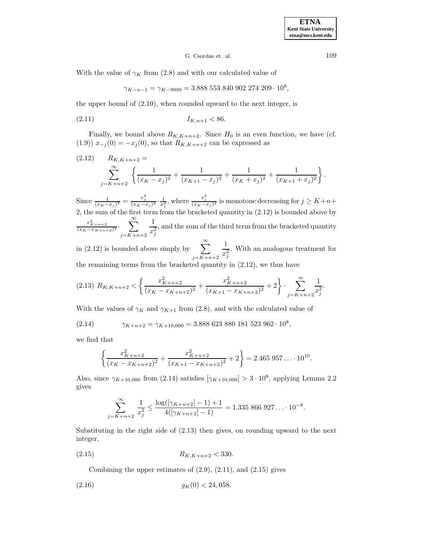## G. Csordas et. al. 109

With the value of  $\gamma_K$  from (2.8) and with our calculated value of

$$
\gamma_{K-n-1} = \gamma_{K-9999} = 3.888\; 553\; 840\; 902\; 274\; 209 \cdot 10^8,
$$

the upper bound of (2.10), when rounded upward to the next integer, is

$$
(2.11) \t\t I_{K,n+1} < 86.
$$

Finally, we bound above  $R_{K,K+n+2}$ . Since  $H_0$  is an even function, we have (cf. (1.9))  $x_{-j}(0) = -x_j(0)$ , so that  $R_{K,K+n+2}$  can be expressed as

$$
(2.12) \qquad R_{K,K+n+2} = \sum_{j=K+n+2}^{\infty} \left\{ \frac{1}{(x_K - x_j)^2} + \frac{1}{(x_{K+1} - x_j)^2} + \frac{1}{(x_K + x_j)^2} + \frac{1}{(x_{K+1} + x_j)^2} \right\}.
$$

Since  $\frac{1}{(x_K-x_j)^2} = \frac{x_j^2}{(x_K-x_j)^2} \cdot \frac{1}{x_j^2}$ , where  $\frac{x_j^2}{(x_K-x_j)^2}$  is monotone decreasing for  $j \geq K+n+1$ 2, the sum of the first term from the bracketed quantity in (2.12) is bounded above by  $\frac{x_{K+n+2}^2}{(x_K-x_{K+n+2})^2} \cdot \sum_{j=K+n+2}^{\infty}$ 1  $x_j^2$ , and the sum of the third term from the bracketed quantity

in (2.12) is bounded above simply by  $\sum_{n=1}^{\infty}$  $j = K+n+2$ 1  $x_j^2$ . With an analogous treatment for the remaining terms from the bracketed quantity in (2.12), we thus have

$$
(2.13) \ R_{K,K+n+2} < \left\{ \frac{x_{K+n+2}^2}{(x_K - x_{K+n+2})^2} + \frac{x_{K+n+2}^2}{(x_{K+1} - x_{K+n+2})^2} + 2 \right\} \cdot \sum_{j=K+n+2}^{\infty} \frac{1}{x_j^2}.
$$

With the values of  $\gamma_K$  and  $\gamma_{K+1}$  from (2.8), and with the calculated value of

(2.14) 
$$
\gamma_{K+n+2} = \gamma_{K+10,000} = 3.888\ 623\ 880\ 181\ 523\ 962 \cdot 10^8,
$$

we find that

$$
\left\{\frac{x_{K+n+2}^2}{(x_K - x_{K+n+2})^2} + \frac{x_{K+n+2}^2}{(x_{K+1} - x_{K+n+2})^2} + 2\right\} = 2.465\ 957\ldots\cdot10^{10}.
$$

Also, since  $\gamma_{K+10,000}$  from (2.14) satisfies  $[\gamma_{K+10,000}] > 3 \cdot 10^8$ , applying Lemma 2.2 gives

$$
\sum_{j=K+n+2}^{\infty} \frac{1}{x_j^2} \le \frac{\log((\gamma_{K+n+2})-1)+1}{4((\gamma_{K+n+2})-1)} = 1.335\ 866\ 927\dots\ 10^{-8}.
$$

Substituting in the right side of (2.13) then gives, on rounding upward to the next integer,

 $R_{K,K+n+2} < 330.$ 

Combining the upper estimates of  $(2.9)$ ,  $(2.11)$ , and  $(2.15)$  gives

$$
(2.16) \t\t g_K(0) < 24,058.
$$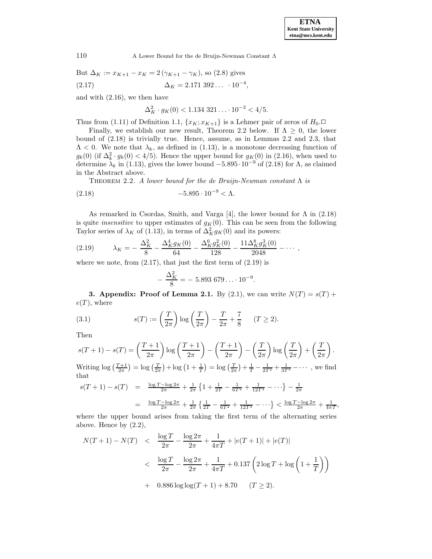110 A Lower Bound for the de Bruijn-Newman Constant Λ

But  $\Delta_K := x_{K+1} - x_K = 2(\gamma_{K+1} - \gamma_K)$ , so (2.8) gives  $\Delta_K = 2.171\,392\ldots\,10^{-4},$ 

and with (2.16), we then have

$$
\Delta_K^2 \cdot g_K(0) < 1.134 \, 321 \ldots \cdot 10^{-3} < 4/5.
$$

Thus from (1.11) of Definition 1.1,  $\{x_K; x_{K+1}\}\$ is a Lehmer pair of zeros of  $H_0$ .

Finally, we establish our new result, Theorem 2.2 below. If  $\Lambda \geq 0$ , the lower bound of (2.18) is trivially true. Hence, assume, as in Lemmas 2.2 and 2.3, that  $\Lambda$  < 0. We note that  $\lambda_k$ , as defined in (1.13), is a monotone decreasing function of  $g_k(0)$  (if  $\Delta_k^2 \cdot g_k(0) < 4/5$ ). Hence the upper bound for  $g_{K}(0)$  in (2.16), when used to determine  $\lambda_k$  in (1.13), gives the lower bound  $-5.895 \cdot 10^{-9}$  of (2.18) for  $\Lambda$ , as claimed in the Abstract above.

THEOREM 2.2. A lower bound for the de Bruijn-Newman constant  $\Lambda$  is

(2.18) 
$$
-5.895 \cdot 10^{-9} < \Lambda.
$$

As remarked in Csordas, Smith, and Varga [4], the lower bound for  $\Lambda$  in (2.18) is quite *insensitive* to upper estimates of  $g_K(0)$ . This can be seen from the following Taylor series of  $\lambda_K$  of (1.13), in terms of  $\Delta_K^2 g_K(0)$  and its powers:

$$
(2.19) \qquad \lambda_K = -\frac{\Delta_K^2}{8} - \frac{\Delta_K^4 g_K(0)}{64} - \frac{\Delta_K^6 g_K^2(0)}{128} - \frac{11\Delta_K^8 g_K^3(0)}{2048} - \cdots,
$$

where we note, from  $(2.17)$ , that just the first term of  $(2.19)$  is

$$
-\frac{\Delta_K^2}{8} = -5.893\,679\ldots\cdot10^{-9}.
$$

**3. Appendix: Proof of Lemma 2.1.** By (2.1), we can write  $N(T) = s(T) +$  $e(T)$ , where

(3.1) 
$$
s(T) := \left(\frac{T}{2\pi}\right) \log\left(\frac{T}{2\pi}\right) - \frac{T}{2\pi} + \frac{7}{8} \quad (T \ge 2).
$$

Then

$$
s(T+1) - s(T) = \left(\frac{T+1}{2\pi}\right) \log\left(\frac{T+1}{2\pi}\right) - \left(\frac{T+1}{2\pi}\right) - \left(\frac{T}{2\pi}\right) \log\left(\frac{T}{2\pi}\right) + \left(\frac{T}{2\pi}\right).
$$
  
Writing  $\log\left(\frac{T+1}{2\pi}\right) = \log\left(\frac{T}{2\pi}\right) + \log\left(1 + \frac{1}{T}\right) = \log\left(\frac{T}{2\pi}\right) + \frac{1}{T} - \frac{1}{2T^2} + \frac{1}{3T^3} - \cdots$ , we find that

$$
s(T+1) - s(T) = \frac{\log T - \log 2\pi}{2\pi} + \frac{1}{2\pi} \left\{ 1 + \frac{1}{2T} - \frac{1}{6T^2} + \frac{1}{12T^3} - \cdots \right\} - \frac{1}{2\pi}
$$

$$
= \frac{\log T - \log 2\pi}{2\pi} + \frac{1}{2\pi} \left\{ \frac{1}{2T} - \frac{1}{6T^2} + \frac{1}{12T^3} - \cdots \right\} < \frac{\log T - \log 2\pi}{2\pi} + \frac{1}{4\pi T},
$$

where the upper bound arises from taking the first term of the alternating series above. Hence by (2.2),

$$
N(T+1) - N(T) < \frac{\log T}{2\pi} - \frac{\log 2\pi}{2\pi} + \frac{1}{4\pi T} + |e(T+1)| + |e(T)|
$$
  

$$
< \frac{\log T}{2\pi} - \frac{\log 2\pi}{2\pi} + \frac{1}{4\pi T} + 0.137 \left(2 \log T + \log \left(1 + \frac{1}{T}\right)\right)
$$
  

$$
+ 0.886 \log \log(T+1) + 8.70 \qquad (T \ge 2).
$$